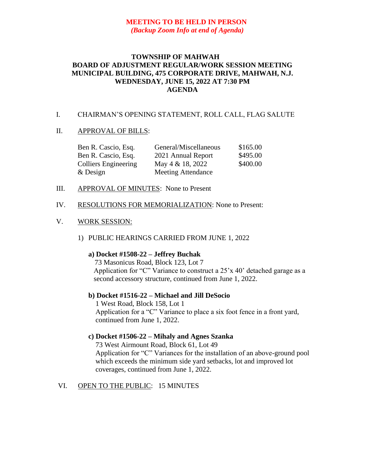# **MEETING TO BE HELD IN PERSON** *(Backup Zoom Info at end of Agenda)*

## **TOWNSHIP OF MAHWAH BOARD OF ADJUSTMENT REGULAR/WORK SESSION MEETING MUNICIPAL BUILDING, 475 CORPORATE DRIVE, MAHWAH, N.J. WEDNESDAY, JUNE 15, 2022 AT 7:30 PM AGENDA**

#### I. CHAIRMAN'S OPENING STATEMENT, ROLL CALL, FLAG SALUTE

#### II. APPROVAL OF BILLS:

| Ben R. Cascio, Esq.         | General/Miscellaneous     | \$165.00 |
|-----------------------------|---------------------------|----------|
| Ben R. Cascio, Esq.         | 2021 Annual Report        | \$495.00 |
| <b>Colliers Engineering</b> | May $4 \& 18, 2022$       | \$400.00 |
| $&$ Design                  | <b>Meeting Attendance</b> |          |

- III. APPROVAL OF MINUTES: None to Present
- IV. RESOLUTIONS FOR MEMORIALIZATION: None to Present:

## V. WORK SESSION:

1) PUBLIC HEARINGS CARRIED FROM JUNE 1, 2022

#### **a) Docket #1508-22 – Jeffrey Buchak**

73 Masonicus Road, Block 123, Lot 7 Application for "C" Variance to construct a 25'x 40' detached garage as a second accessory structure, continued from June 1, 2022.

#### **b) Docket #1516-22 – Michael and Jill DeSocio**

1 West Road, Block 158, Lot 1 Application for a "C" Variance to place a six foot fence in a front yard, continued from June 1, 2022.

## **c) Docket #1506-22 – Mihaly and Agnes Szanka**

 73 West Airmount Road, Block 61, Lot 49 Application for "C" Variances for the installation of an above-ground pool which exceeds the minimum side yard setbacks, lot and improved lot coverages, continued from June 1, 2022.

## VI. OPEN TO THE PUBLIC: 15 MINUTES